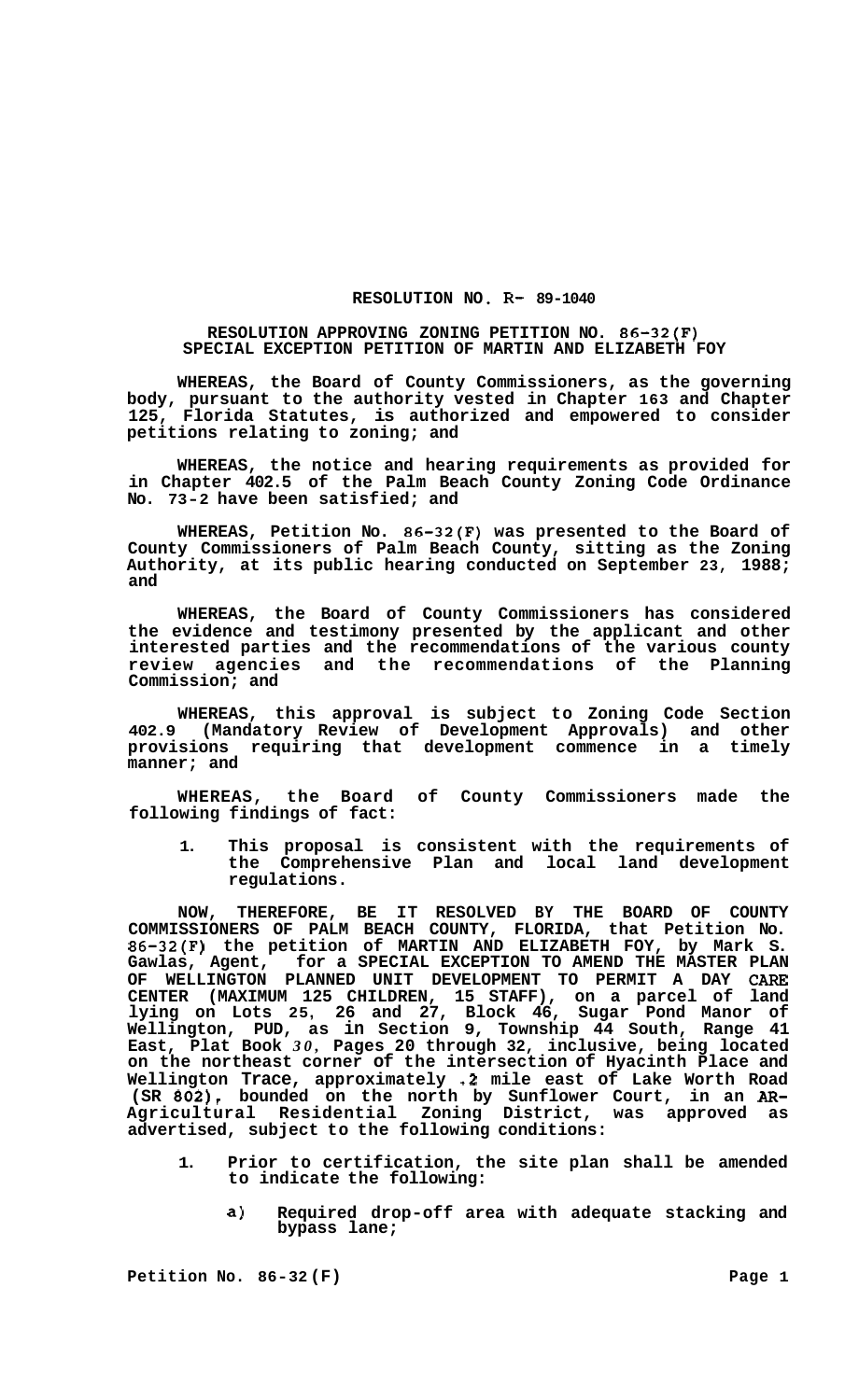## RESOLUTION NO. R- 89-1040

## **RESOLUTION APPROVING ZONING PETITION NO. 86-32(F) SPECIAL EXCEPTION PETITION OF MARTIN AND ELIZABETH FOY**

**WHEREAS, the Board of County Commissioners, as the governing body, pursuant to the authority vested in Chapter 163 and Chapter 125, Florida Statutes, is authorized and empowered to consider petitions relating to zoning; and** 

**WHEREAS, the notice and hearing requirements as provided for in Chapter 402.5 of the Palm Beach County Zoning Code Ordinance No. 73-2 have been satisfied; and** 

**WHEREAS, Petition No. 86-32(F) was presented to the Board of County Commissioners of Palm Beach County, sitting as the Zoning Authority, at its public hearing conducted on September 23, 1988; and** 

**WHEREAS, the Board of County Commissioners has considered the evidence and testimony presented by the applicant and other interested parties and the recommendations of the various county review agencies and the recommendations of the Planning Commission; and** 

**WHEREAS, this approval is subject to Zoning Code Section 402.9 (Mandatory Review of Development Approvals) and other provisions requiring that development commence in a timely manner; and** 

**WHEREAS, the Board of County Commissioners made the following findings of fact:** 

**1. This proposal is consistent with the requirements of the Comprehensive Plan and local land development regulations.** 

**NOW, THEREFORE, BE IT RESOLVED BY THE BOARD OF COUNTY COMMISSIONERS OF PALM BEACH COUNTY, FLORIDA, that Petition No. 86-32(F) the petition of MARTIN AND ELIZABETH FOY, by Mark S.**  Gawlas, Agent, for a SPECIAL EXCEPTION TO AMEND THE MASTER PLAN OF WELLINGTON PLANNED UNIT DEVELOPMENT TO PERMIT A DAY CARE **OF WELLINGTON PLANNED UNIT DEVELOPMENT TO PERMIT A DAY CARE CENTER (MAXIMUM 125 CHILDREN, 15 STAFF), on a parcel of land lying on Lots 25, 26 and 27, Block 46, Sugar Pond Manor of Wellington, PUD, as in Section 9, Township 44 South, Range 41 East, Plat Book** *30,* **Pages 20 through 32, inclusive, being located on the northeast corner of the intersection of Hyacinth Place and Wellington Trace, approximately .2 mile east of Lake Worth Road (SR 802), bounded on the north by Sunflower Court, in an** *AR-***Agricultural Residential Zoning District, was approved as advertised, subject to the following conditions:** 

- **1. Prior to certification, the site plan shall be amended to indicate the following:** 
	- **a) Required drop-off area with adequate stacking and bypass lane;**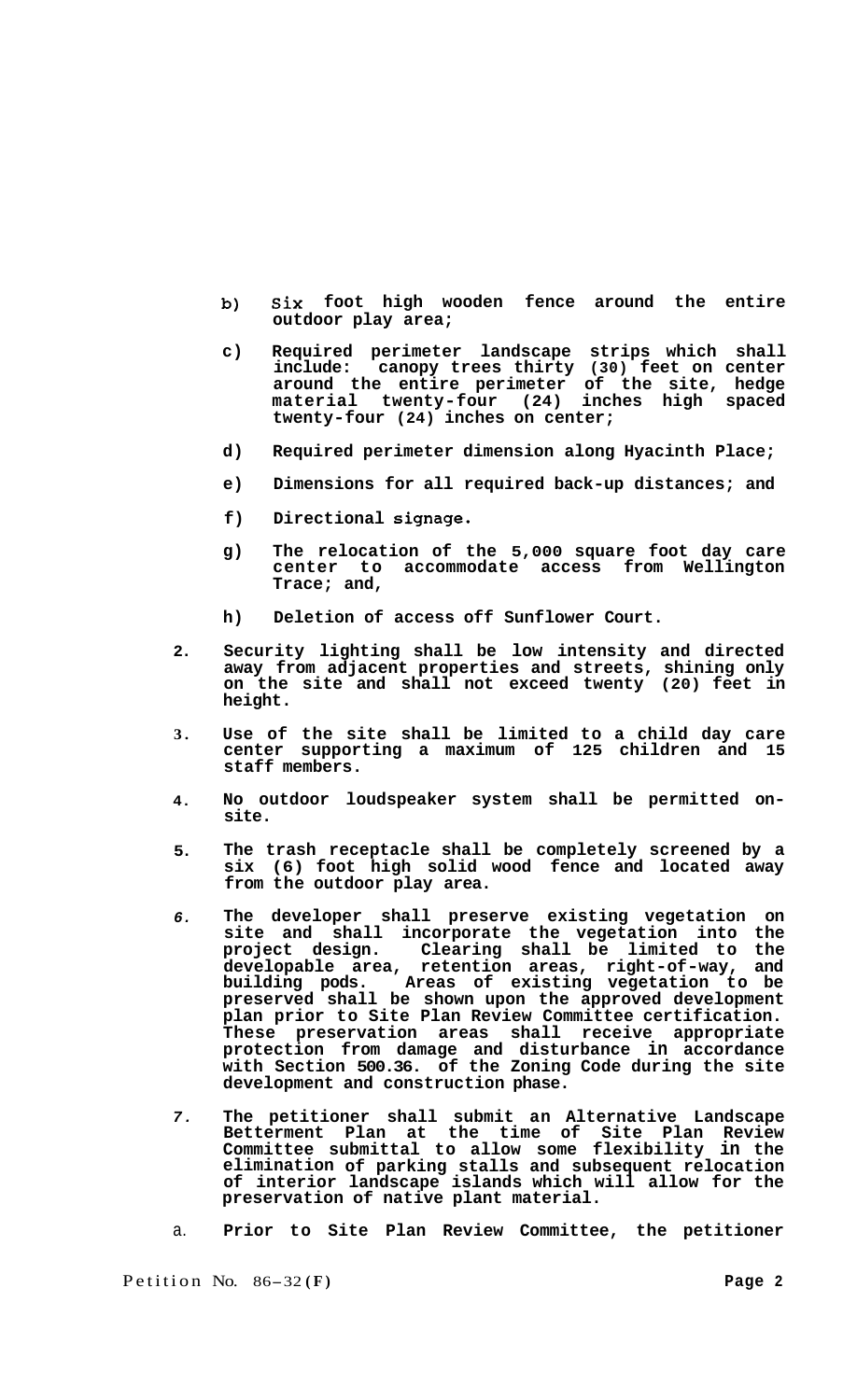- **b) six foot high wooden fence around the entire outdoor play area;**
- **c) Required perimeter landscape strips which shall include: canopy trees thirty (30) feet on center around the entire perimeter of the site, hedge material twenty-four (24) inches high spaced twenty-four (24) inches on center;**
- **d) Required perimeter dimension along Hyacinth Place;**
- **e) Dimensions for all required back-up distances; and**
- **f) Directional signage.**
- **g) The relocation of the 5,000 square foot day care center to accommodate access from Wellington Trace; and,**
- **h) Deletion of access off Sunflower Court.**
- **2. Security lighting shall be low intensity and directed away from adjacent properties and streets, shining only on the site and shall not exceed twenty (20) feet in height.**
- **3. Use of the site shall be limited to a child day care center supporting a maximum of 125 children and 15 staff members.**
- **4. No outdoor loudspeaker system shall be permitted on- site.**
- **5. The trash receptacle shall be completely screened by a six (6) foot high solid wood fence and located away from the outdoor play area.**
- *6.*  **The developer shall preserve existing vegetation on site and shall incorporate the vegetation into the project design. Clearing shall be limited to the developable area, retention areas, right-of-way, and building pods. Areas of existing vegetation to be**  building pods. Areas of existing vegetation to be preserved shall be shown upon the approved development **plan prior to Site Plan Review Committee certification. These preservation areas shall receive appropriate protection from damage and disturbance in accordance with Section 500.36. of the Zoning Code during the site development and construction phase.**
- *7.*  **The petitioner shall submit an Alternative Landscape Betterment Plan at the time of Site Plan Review Committee submittal to allow some flexibility in the elimination of parking stalls and subsequent relocation of interior landscape islands which will allow for the preservation of native plant material.**
- a. **Prior to Site Plan Review Committee, the petitioner**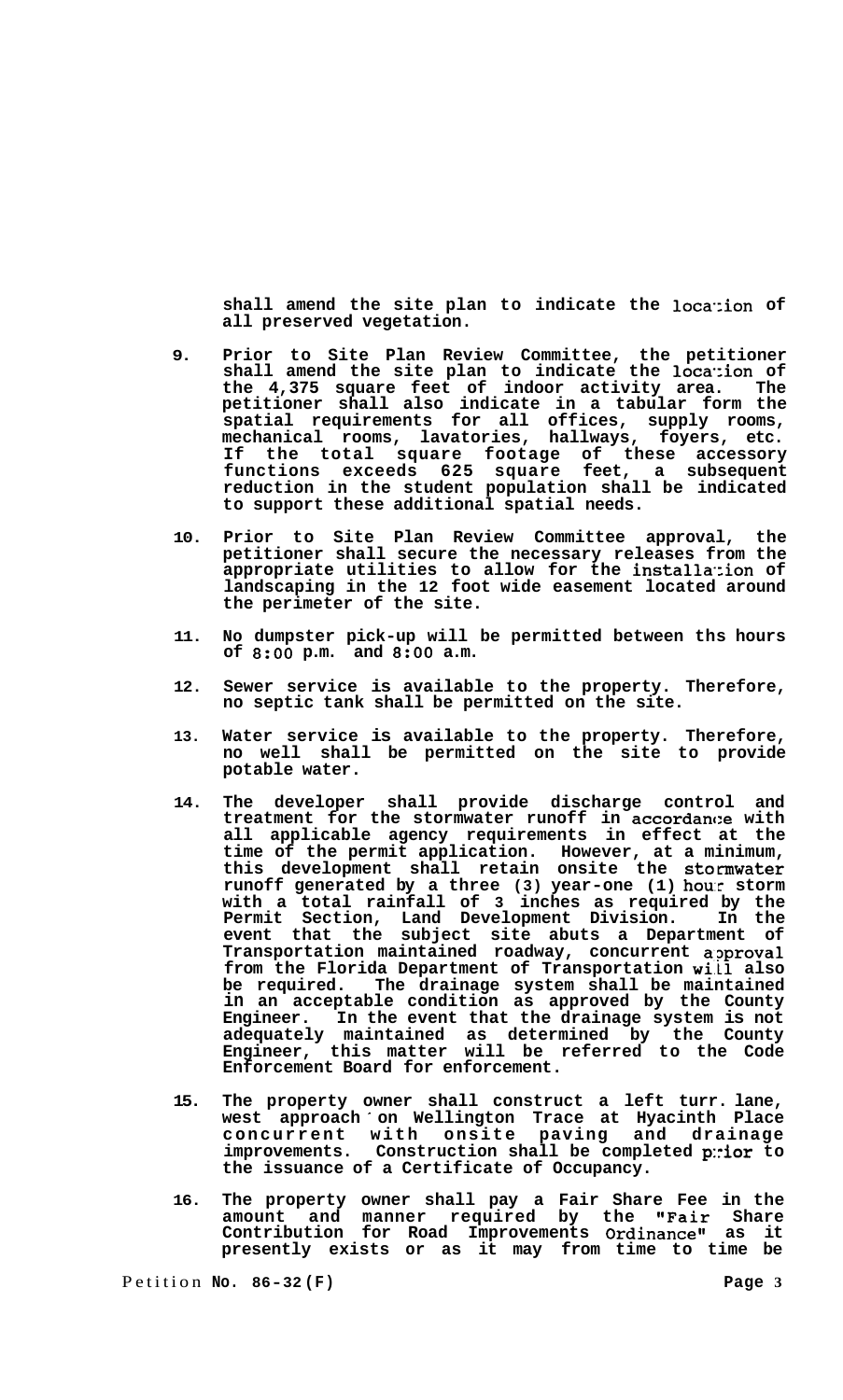shall amend the site plan to indicate the location of **all preserved vegetation.** 

- **9. Prior to Site Plan Review Committee, the petitioner shall amend the site plan to indicate the loca.:ion of the 4,375 square feet of indoor activity area. The petitioner shall also indicate in a tabular form the spatial requirements for all offices, supply rooms, mechanical rooms, lavatories, hallways, foyers, etc. If the total square footage of these accessory functions exceeds 625 square feet, a subsequent reduction in the student population shall be indicated to support these additional spatial needs.**
- **10. Prior to Site Plan Review Committee approval, the petitioner shall secure the necessary releases from the appropriate utilities to allow for the installa-:ion of landscaping in the 12 foot wide easement located around the perimeter of the site.**
- **11. No dumpster pick-up will be permitted between ths hours of** *8:OO* **p.m. and** *8:OO* **a.m.**
- **12. Sewer service is available to the property. Therefore, no septic tank shall be permitted on the site.**
- **13. Water service is available to the property. Therefore, no well shall be permitted on the site to provide potable water.**
- **14. The developer shall provide discharge control and**  treatment for the stormwater runoff in accordance with **all applicable agency requirements in effect at the time of the permit application. However, at a minimum, this development shall retain onsite the stormwater runoff generated by a three (3) year-one (1) hour storm with a total rainfall of 3 inches as required by the Permit Section, Land Development Division. In the event that the subject site abuts a Department of Transportation maintained roadway, concurrent a:?proval from the Florida Department of Transportation wi.11 also be required. The drainage system shall be maintained in an acceptable condition as approved by the County Engineer. In the event that the drainage system is not adequately maintained as determined by the County Engineer, this matter will be referred to the Code Enforcement Board for enforcement.**
- **15. The property owner shall construct a left turr. lane, west approach on Wellington Trace at Hyacinth Place concurrent with onsite paving and drainage improvements. Construction shall be completed p:rior to the issuance of a Certificate of Occupancy.**
- **16. The property owner shall pay a Fair Share Fee in the amount and manner required by the "Fair Share**  Contribution for Road Improvements Ordinance" as it **presently exists or as it may from time to time be**